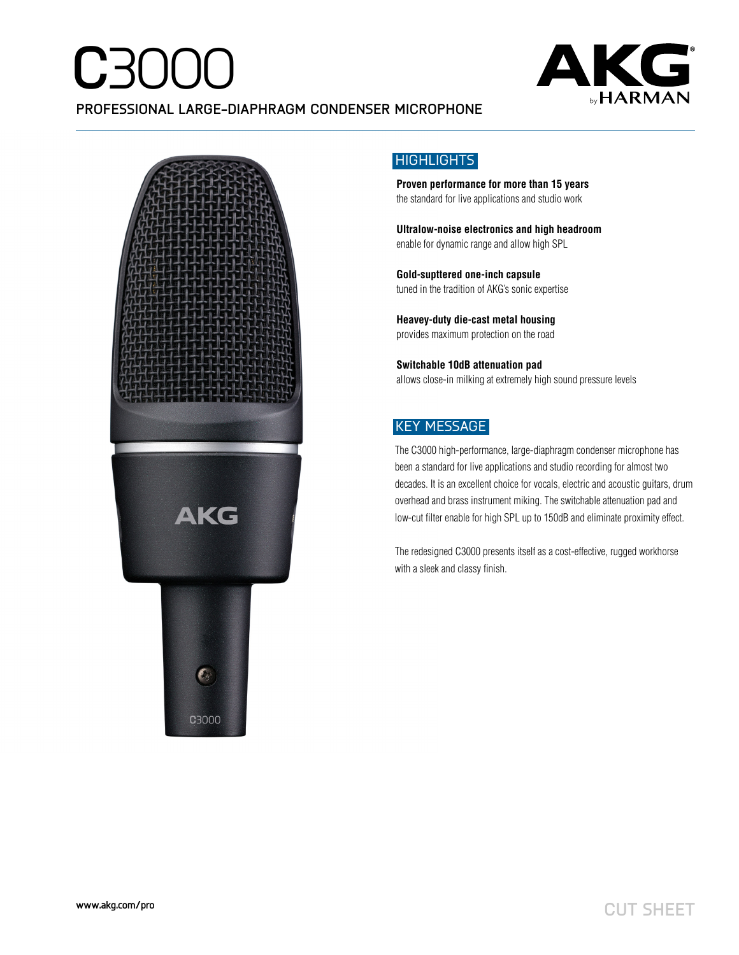# **C**3000



### **PROFESSIONAL LARGE-DIAPHRAGM CONDENSER MICROPHONE**



### HIGHLIGHTS

**Proven performance for more than 15 years**  the standard for live applications and studio work

**Ultralow-noise electronics and high headroom**  enable for dynamic range and allow high SPL

**Gold-supttered one-inch capsule**  tuned in the tradition of AKG's sonic expertise

**Heavey-duty die-cast metal housing**  provides maximum protection on the road

**Switchable 10dB attenuation pad**  allows close-in milking at extremely high sound pressure levels

### KEY MESSAGE

The C3000 high-performance, large-diaphragm condenser microphone has been a standard for live applications and studio recording for almost two decades. It is an excellent choice for vocals, electric and acoustic guitars, drum overhead and brass instrument miking. The switchable attenuation pad and low-cut filter enable for high SPL up to 150dB and eliminate proximity effect.

The redesigned C3000 presents itself as a cost-effective, rugged workhorse with a sleek and classy finish.